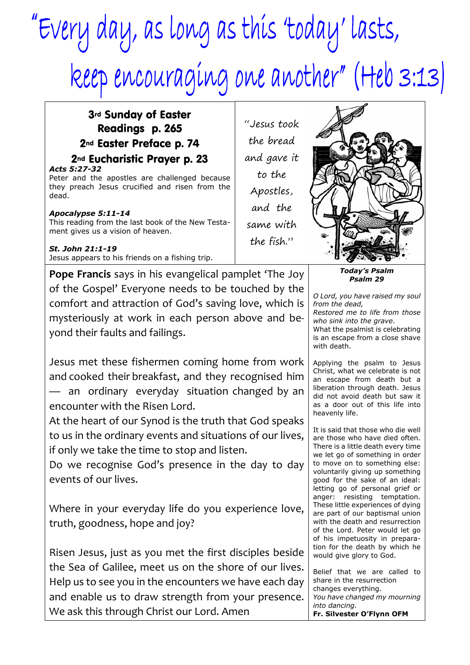## "Every day, as long as this 'today' lasts, keep encouraging one another" (Heb 3:13)

## 3rd Sunday of Easter Readings p. 265 2nd Easter Preface p. 74

## 2nd Eucharistic Prayer p. 23

*Acts 5:27-32* Peter and the apostles are challenged because they preach Jesus crucified and risen from the dead.

## *Apocalypse 5:11-14*

This reading from the last book of the New Testament gives us a vision of heaven.

*St. John 21:1-19* Jesus appears to his friends on a fishing trip.

**Pope Francis** says in his evangelical pamplet 'The Joy of the Gospel' Everyone needs to be touched by the comfort and attraction of God's saving love, which is mysteriously at work in each person above and beyond their faults and failings.

Jesus met these fishermen coming home from work and cooked their breakfast, and they recognised him an ordinary everyday situation changed by an encounter with the Risen Lord.

At the heart of our Synod is the truth that God speaks to us in the ordinary events and situations of our lives, if only we take the time to stop and listen.

Do we recognise God's presence in the day to day events of our lives.

Where in your everyday life do you experience love, truth, goodness, hope and joy?

Risen Jesus, just as you met the first disciples beside the Sea of Galilee, meet us on the shore of our lives. Help us to see you in the encounters we have each day and enable us to draw strength from your presence. We ask this through Christ our Lord. Amen

"Jesus took the bread and gave it to the Apostles, and the same with the fish."

> *Today's Psalm Psalm 29*

*O Lord, you have raised my soul from the dead, Restored me to life from those who sink into the grave*. What the psalmist is celebrating is an escape from a close shave with death.

Applying the psalm to Jesus Christ, what we celebrate is not an escape from death but a liberation through death. Jesus did not avoid death but saw it as a door out of this life into heavenly life.

It is said that those who die well are those who have died often. There is a little death every time we let go of something in order to move on to something else: voluntarily giving up something good for the sake of an ideal: letting go of personal grief or anger: resisting temptation. These little experiences of dying are part of our baptismal union with the death and resurrection of the Lord. Peter would let go of his impetuosity in preparation for the death by which he would give glory to God.

Belief that we are called to share in the resurrection changes everything. *You have changed my mourning into dancing.* **Fr. Silvester O'Flynn OFM**